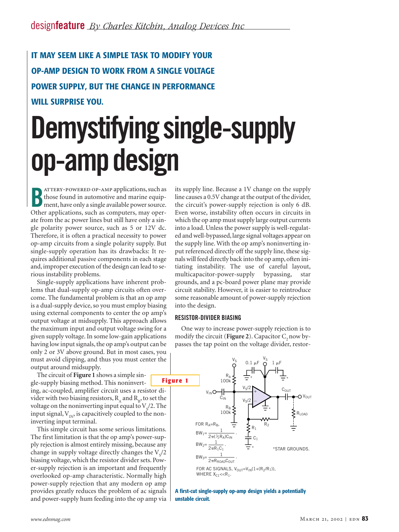**IT MAY SEEM LIKE A SIMPLE TASK TO MODIFY YOUR OP-AMP DESIGN TO WORK FROM A SINGLE VOLTAGE POWER SUPPLY, BUT THE CHANGE IN PERFORMANCE WILL SURPRISE YOU.**

# **Demystifying single-supply op-amp design**

**B** attery-powered op-amp applications, such as those found in automotive and marine equipment, have only a single available power source. Other applications, such as computers, may operate from the ac power lines but still have only a single polarity power source, such as 5 or 12V dc. Therefore, it is often a practical necessity to power op-amp circuits from a single polarity supply. But single-supply operation has its drawbacks: It requires additional passive components in each stage and, improper execution of the design can lead to serious instability problems.

Single-supply applications have inherent problems that dual-supply op-amp circuits often overcome. The fundamental problem is that an op amp is a dual-supply device, so you must employ biasing using external components to center the op amp's output voltage at midsupply. This approach allows the maximum input and output voltage swing for a given supply voltage. In some low-gain applications having low input signals, the op amp's output can be only 2 or 3V above ground. But in most cases, you must avoid clipping, and thus you must center the output around midsupply.

The circuit of **Figure 1** shows a simple single-supply biasing method. This noninverting, ac-coupled, amplifier circuit uses a resistor divider with two biasing resistors,  $R_{\mu}$  and  $R_{\mu}$ , to set the voltage on the noninverting input equal to  $\mathrm{V_{S}}/2$ . The input signal,  $V_{IN}$ , is capacitively coupled to the noninverting input terminal.

This simple circuit has some serious limitations. The first limitation is that the op amp's power-supply rejection is almost entirely missing, because any change in supply voltage directly changes the  $\mathrm{V_{S}}/2$ biasing voltage, which the resistor divider sets. Power-supply rejection is an important and frequently overlooked op-amp characteristic. Normally high power-supply rejection that any modern op amp provides greatly reduces the problem of ac signals and power-supply hum feeding into the op amp via

its supply line. Because a 1V change on the supply line causes a 0.5V change at the output of the divider, the circuit's power-supply rejection is only 6 dB. Even worse, instability often occurs in circuits in which the op amp must supply large output currents into a load. Unless the power supply is well-regulated and well-bypassed, large signal voltages appear on the supply line. With the op amp's noninverting input referenced directly off the supply line, these signals will feed directly back into the op amp, often initiating instability. The use of careful layout, multicapacitor-power-supply bypassing, star grounds, and a pc-board power plane may provide circuit stability. However, it is easier to reintroduce some reasonable amount of power-supply rejection into the design.

#### **RESISTOR-DIVIDER BIASING**

One way to increase power-supply rejection is to modify the circuit (**Figure 2**). Capacitor C<sub>2</sub> now bypasses the tap point on the voltage divider, restor-

 $\mathtt{V}_\mathtt{S}$ 

 $V_{\rm S}$ 



**A first-cut single-supply op-amp design yields a potentially unstable circuit.**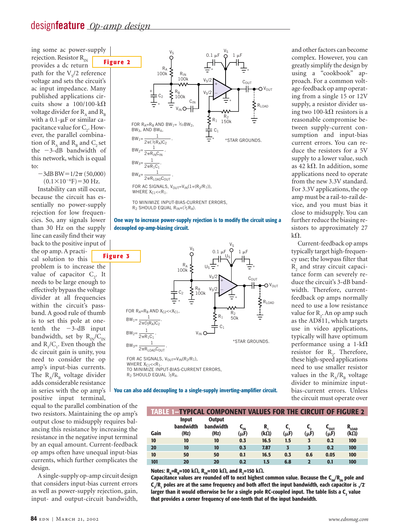ing some ac power-supply rejection. Resistor  $R_{IN}$ provides a dc return path for the  $\rm V_s/2$  reference voltage and sets the circuit's ac input impedance. Many published applications circuits show a  $100/100 - k\Omega$ voltage divider for  $R_{\text{A}}$  and  $R_{\text{B}}$ with a  $0.1 - \mu$ F or similar capacitance value for  $C_2$ . However, the parallel combination of  $R_{\text{A}}$  and  $R_{\text{B}}$  and  $C_{\text{A}}$  set the  $-3$ -dB bandwidth of this network, which is equal to:

 $-3dB BW=1/2\pi (50,000)$ 

 $(0.1 \times 10^{-6} F) = 30 Hz.$ Instability can still occur, because the circuit has essentially no power-supply rejection for low frequencies. So, any signals lower than 30 Hz on the supply line can easily find their way back to the positive input of the op amp. A practical solution to this problem is to increase the value of capacitor  $C_2$ . It needs to be large enough to effectively bypass the voltage divider at all frequencies within the circuit's passband. A good rule of thumb is to set this pole at onetenth the  $-3$ -dB input bandwidth, set by  $R_{IN}/C_{IN}$ and  $R_1/C_1$ . Even though the dc circuit gain is unity, you need to consider the op amp's input-bias currents. The  $R_{\mu}/R_{\mu}$  voltage divider

adds considerable resistance in series with the op amp's

positive input terminal, equal to the parallel combination of the two resistors. Maintaining the op amp's output close to midsupply requires balancing this resistance by increasing the resistance in the negative input terminal by an equal amount. Current-feedback op amps often have unequal input-bias currents, which further complicates the design.

A single-supply op-amp circuit design that considers input-bias current errors as well as power-supply rejection, gain, input- and output-circuit bandwidth,







and other factors can become complex. However, you can greatly simplify the design by using a "cookbook" approach. For a common voltage-feedback op amp operating from a single 15 or 12V supply, a resistor divider using two 100-k $\Omega$  resistors is a reasonable compromise between supply-current consumption and input-bias current errors. You can reduce the resistors for a 5V supply to a lower value, such as 42 k $\Omega$ . In addition, some applications need to operate from the new 3.3V standard. For 3.3V applications, the op amp must be a rail-to-rail device, and you must bias it close to midsupply. You can further reduce the biasing resistors to approximately 27  $k\Omega$ .

Current-feedback op amps typically target high-frequency use; the lowpass filter that R<sub>2</sub> and stray circuit capacitance form can severely reduce the circuit's 3-dB bandwidth. Therefore, currentfeedback op amps normally need to use a low resistance value for R<sub>2</sub>. An op amp such as the AD811, which targets use in video applications, typically will have optimum performance using a 1-k $\Omega$ resistor for  $R_2$ . Therefore, these high-speed applications need to use smaller resistor values in the  $R_{\mu}/R_{\mu}$  voltage divider to minimize inputbias-current errors. Unless the circuit must operate over

**You can also add decoupling to a single-supply inverting-amplifier circuit.**

|      |                                   | <b>TABLE 1-TYPICAL COMPONENT VALUES FOR THE CIRCUIT OF FIGURE 2</b> |             |                   |      |      |                               |                               |
|------|-----------------------------------|---------------------------------------------------------------------|-------------|-------------------|------|------|-------------------------------|-------------------------------|
| Gain | <b>Input</b><br>bandwidth<br>(Hz) | <b>Output</b><br>bandwidth<br>(Hz)                                  | ∽៲៷<br>(µF) | R.<br>$(k\Omega)$ | (μF) | (µF) | $c_{\text{out}}$<br>$(\mu F)$ | $R_{\rm LOAD}$<br>$(k\Omega)$ |
| 10   | 10                                | 10                                                                  | 0.3         | 16.5              | 1.5  | 3    | 0.2                           | 100                           |
| 20   | 10                                | 10                                                                  | 0.3         | 7.87              | 3    |      | 0.2                           | 100                           |
| 10   | 50                                | 50                                                                  | 0.1         | 16.5              | 0.3  | 0.6  | 0.05                          | 100                           |
| 101  | 20                                | 20                                                                  | 0.2         | 1.5               | 6.8  |      | 0.1                           | 100                           |

 ${\sf Notes: R}_{\sf A}$ = ${\sf R}_{\sf B}$ =100 k $\Omega$ ,  ${\sf R}_{\sf IN}$ =100 k $\Omega$ , and  ${\sf R}_{\sf 2}$ =150 k $\Omega$ .

Capacitance values are rounded off to next highest common value. Because the  $C_{\text{in}}/R_{\text{in}}$  pole and  $\mathsf{C}_\mathsf{i}/\mathsf{R}_\mathsf{i}$  poles are at the same frequency and both affect the input bandwidth, each capacitor is  $\sqrt{\mathsf{2}}$ larger than it would otherwise be for a single pole RC-coupled input. The table lists a C<sub>2</sub> value **that provides a corner frequency of one-tenth that of the input bandwidth.**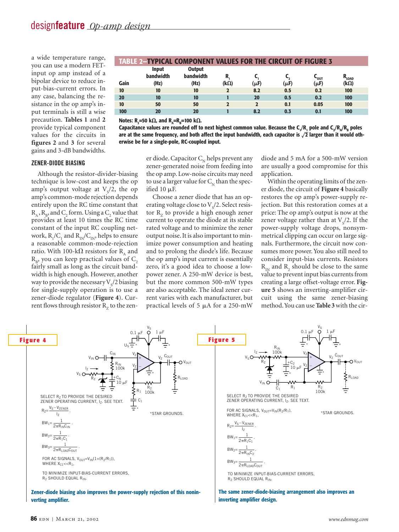a wide temperature range, you can use a modern FETinput op amp instead of a bipolar device to reduce input-bias-current errors. In any case, balancing the resistance in the op amp's input terminals is still a wise precaution. **Tables 1** and **2** provide typical component values for the circuits in **figures 2** and **3** for several gains and 3-dB bandwidths.

|      |                           | <b>TABLE 2-TYPICAL COMPONENT VALUES FOR THE CIRCUIT OF FIGURE 3</b> |                |      |           |                     |       |
|------|---------------------------|---------------------------------------------------------------------|----------------|------|-----------|---------------------|-------|
|      | <b>Input</b><br>bandwidth | <b>Output</b><br>bandwidth                                          |                |      |           | $\sim_{\text{OUT}}$ | "LOAD |
| Gain | (Hz)                      | (Hz)                                                                | $(k\Omega)$    | (µF) | $(\mu F)$ | $(\mu F)$           | (kΩ)  |
| 10   | 10                        | 10                                                                  | 2              | 8.2  | 0.5       | 0.2                 | 100   |
| 20   | 10                        | 10                                                                  |                | 20   | 0.5       | 0.2                 | 100   |
| 10   | 50                        | 50                                                                  | $\overline{2}$ |      | 0.1       | 0.05                | 100   |
| 100  | 20                        | 20                                                                  |                | 8.2  | 0.3       | 0.1                 | 100   |

 $\mathsf{Notes}\colon\mathsf{R}_\mathsf{2}$ =50 k $\mathsf{\Omega}$ , and  $\mathsf{R}_\mathsf{A}$ = $\mathsf{R}_\mathsf{B}$ =100 k $\mathsf{\Omega}$ .

**Capacitance values are rounded off to next highest common value. Because the C1 /R1 pole and C2 /RA/RB poles** are at the same frequency, and both affect the input bandwidth, each capacitor is  $\sqrt{2}$  larger than it would oth**erwise be for a single-pole, RC-coupled input.**

# **ZENER-DIODE BIASING**

Although the resistor-divider-biasing technique is low-cost and keeps the op amp's output voltage at  $V_s/2$ , the op amp's common-mode rejection depends entirely upon the RC time constant that  $R_{A}$ ,  $R_{B}$ , and C<sub>2</sub> form. Using a C<sub>2</sub> value that provides at least 10 times the RC time constant of the input RC coupling network,  $R_1/C_1$  and  $R_{IN}/C_{IN}$ , helps to ensure a reasonable common-mode-rejection ratio. With 100-k $\Omega$  resistors for R<sub>A</sub> and  $R_B$ , you can keep practical values of C<sub>2</sub> fairly small as long as the circuit bandwidth is high enough. However, another way to provide the necessary  $\mathrm{V}_{\mathrm{s}}/2$  biasing for single-supply operation is to use a zener-diode regulator (**Figure 4**). Current flows through resistor  $R<sub>z</sub>$  to the zen-

# er diode. Capacitor  $C_{N}$  helps prevent any zener-generated noise from feeding into the op amp. Low-noise circuits may need to use a larger value for  $C<sub>N</sub>$  than the specified 10  $\mu$ F.

Choose a zener diode that has an operating voltage close to  $\mathrm{V_s}/2$ . Select resistor  $R<sub>z</sub>$  to provide a high enough zener current to operate the diode at its stable rated voltage and to minimize the zener output noise. It is also important to minimize power consumption and heating and to prolong the diode's life. Because the op amp's input current is essentially zero, it's a good idea to choose a lowpower zener. A 250-mW device is best, but the more common 500-mW types are also acceptable. The ideal zener current varies with each manufacturer, but practical levels of 5  $\mu$ A for a 250-mW

diode and 5 mA for a 500-mW version are usually a good compromise for this application.

Within the operating limits of the zener diode, the circuit of **Figure 4** basically restores the op amp's power-supply rejection. But this restoration comes at a price: The op amp's output is now at the zener voltage rather than at  $V_s/2$ . If the power-supply voltage drops, nonsymmetrical clipping can occur on large signals. Furthermore, the circuit now consumes more power. You also still need to consider input-bias currents. Resistors  $R_{IN}$  and  $R_{2}$  should be close to the same value to prevent input bias currents from creating a large offset-voltage error. **Figure 5** shows an inverting-amplifier circuit using the same zener-biasing method.You can use **Table 3** with the cir-



**inverting amplifier design.**

**verting amplifier.**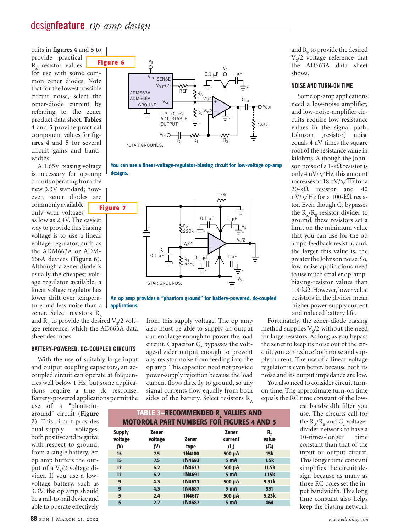cuits in **figures 4** and **5** to

provide practical  $R<sub>z</sub>$  resistor values for use with some common zener diodes. Note that for the lowest possible circuit noise, select the zener-diode current by referring to the zener product data sheet. **Tables 4** and **5** provide practical component values for **figures 4** and **5** for several circuit gains and bandwidths.

A 1.65V biasing voltage is necessary for op-amp circuits operating from the new 3.3V standard; however, zener diodes are commonly available only with voltages as low as 2.4V. The easiest way to provide this biasing voltage is to use a linear voltage regulator, such as the ADM663A or ADM-666A devices (**Figure 6**). Although a zener diode is usually the cheapest voltage regulator available, a linear voltage regulator has lower drift over temperature and less noise than a zener. Select resistors R

and  $R_B$  to provide the desired  $V_S/2$  voltage reference, which the AD663A data sheet describes.

# **BATTERY-POWERED, DC-COUPLED CIRCUITS**

With the use of suitably large input and output coupling capacitors, an accoupled circuit can operate at frequencies well below 1 Hz, but some applications require a true dc response. Battery-powered applications permit the

I

use of a "phantomground" circuit (**Figure 7**). This circuit provides dual-supply voltages, both positive and negative with respect to ground, from a single battery. An op amp buffers the output of a V<sub>s</sub>/2 voltage divider. If you use a lowvoltage battery, such as 3.3V, the op amp should be a rail-to-rail device and able to operate effectively







**An op amp provides a "phantom ground" for battery-powered, dc-coupled applications.**

> from this supply voltage. The op amp also must be able to supply an output current large enough to power the load circuit. Capacitor  $C<sub>2</sub>$  bypasses the voltage-divider output enough to prevent any resistor noise from feeding into the op amp. This capacitor need not provide power-supply rejection because the load current flows directly to ground, so any signal currents flow equally from both sides of the battery. Select resistors  $R_A$

and  $R_B$  to provide the desired  $V_s/2$  voltage reference that the AD663A data sheet shows.

#### **NOISE AND TURN-ON TIME**

Some op-amp applications need a low-noise amplifier, and low-noise-amplifier circuits require low resistance values in the signal path. Johnson (resistor) noise equals 4 nV times the square root of the resistance value in kilohms. Although the Johnson noise of a 1-k $\Omega$  resistor is only 4 nV/ $\sqrt{Hz}$ , this amount increases to  $18 \text{ nV}/\sqrt{\text{Hz}}$  for a  $20 - k\Omega$  resistor and 40 nV/ $\sqrt{Hz}$  for a 100-k $\Omega$  resistor. Even though C<sub>2</sub> bypasses the  $R_{A}/R_{B}$  resistor divider to ground, these resistors set a limit on the minimum value that you can use for the op amp's feedback resistor, and, the larger this value is, the greater the Johnson noise. So, low-noise applications need to use much smaller op-ampbiasing-resistor values than 100 k $\Omega$ . However, lower value resistors in the divider mean higher power-supply current and reduced battery life.

Fortunately, the zener-diode biasing method supplies  $V_s/2$  without the need for large resistors. As long as you bypass the zener to keep its noise out of the circuit, you can reduce both noise and supply current. The use of a linear voltage regulator is even better, because both its noise and its output impedance are low.

You also need to consider circuit turnon time. The approximate turn-on time equals the RC time constant of the low-

> est bandwidth filter you use. The circuits call for the  $\rm R_A/R_B$  and  $\rm C_2$  voltagedivider network to have a 10-times-longer time constant than that of the input or output circuit. This longer time constant simplifies the circuit design because as many as three RC poles set the input bandwidth. This long time constant also helps keep the biasing network

| <b>TABLE 3-RECOMMENDED R, VALUES AND</b> |                                |                      |                                                  |                           |  |  |  |
|------------------------------------------|--------------------------------|----------------------|--------------------------------------------------|---------------------------|--|--|--|
|                                          |                                |                      | <b>MOTOROLA PART NUMBERS FOR FIGURES 4 AND 5</b> |                           |  |  |  |
| <b>Supply</b><br>voltage<br>(V)          | <b>Zener</b><br>voltage<br>(V) | <b>Zener</b><br>type | <b>Zener</b><br>current<br>(I <sub>7</sub> )     | R,<br>value<br>$(\Omega)$ |  |  |  |
| 15<br>15                                 | 7.5<br>7.5                     | 1N4100<br>1N4693     | 500 µA<br><b>5 mA</b>                            | 15k<br>1.5k               |  |  |  |
| 12                                       | 6.2                            | 1N4627               | 500 µA                                           | 11.5k                     |  |  |  |
| 12<br>9                                  | 6.2<br>4.3                     | 1N4691<br>1N4623     | <b>5 mA</b><br>500 µA                            | 1.15k<br>9.31k            |  |  |  |
| 9                                        | 4.3                            | 1N4687               | 5 mA                                             | 931                       |  |  |  |
| 5<br>5                                   | 2.4<br>2.7                     | 1N4617<br>1N4682     | 500 µA<br><b>5 mA</b>                            | 5.23k<br>464              |  |  |  |